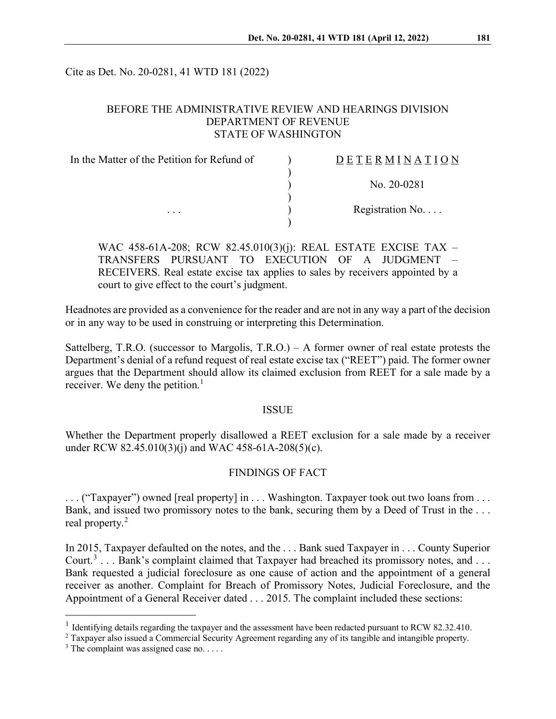Cite as Det. No. 20-0281, 41 WTD 181 (2022)

## BEFORE THE ADMINISTRATIVE REVIEW AND HEARINGS DIVISION DEPARTMENT OF REVENUE STATE OF WASHINGTON

| In the Matter of the Petition for Refund of<br>$\cdots$ | DETERMINATION     |
|---------------------------------------------------------|-------------------|
|                                                         | No. 20-0281       |
|                                                         | Registration $No$ |
|                                                         |                   |

WAC 458-61A-208; RCW 82.45.010(3)(j): REAL ESTATE EXCISE TAX – TRANSFERS PURSUANT TO EXECUTION OF A JUDGMENT – RECEIVERS. Real estate excise tax applies to sales by receivers appointed by a court to give effect to the court's judgment.

Headnotes are provided as a convenience for the reader and are not in any way a part of the decision or in any way to be used in construing or interpreting this Determination.

Sattelberg, T.R.O. (successor to Margolis, T.R.O.) – A former owner of real estate protests the Department's denial of a refund request of real estate excise tax ("REET") paid. The former owner argues that the Department should allow its claimed exclusion from REET for a sale made by a receiver. We deny the petition.<sup>[1](#page-0-0)</sup>

#### ISSUE

Whether the Department properly disallowed a REET exclusion for a sale made by a receiver under RCW 82.45.010(3)(j) and WAC 458-61A-208(5)(c).

## FINDINGS OF FACT

. . . ("Taxpayer") owned [real property] in . . . Washington. Taxpayer took out two loans from . . . Bank, and issued two promissory notes to the bank, securing them by a Deed of Trust in the ... real property.[2](#page-0-1)

In 2015, Taxpayer defaulted on the notes, and the . . . Bank sued Taxpayer in . . . County Superior Court.<sup>[3](#page-0-2)</sup> . . . Bank's complaint claimed that Taxpayer had breached its promissory notes, and . . . Bank requested a judicial foreclosure as one cause of action and the appointment of a general receiver as another. Complaint for Breach of Promissory Notes, Judicial Foreclosure, and the Appointment of a General Receiver dated . . . 2015. The complaint included these sections:

<span id="page-0-0"></span><sup>&</sup>lt;sup>1</sup> Identifying details regarding the taxpayer and the assessment have been redacted pursuant to RCW 82.32.410.

<span id="page-0-1"></span><sup>2</sup> Taxpayer also issued a Commercial Security Agreement regarding any of its tangible and intangible property.

<span id="page-0-2"></span> $3$  The complaint was assigned case no. . . . .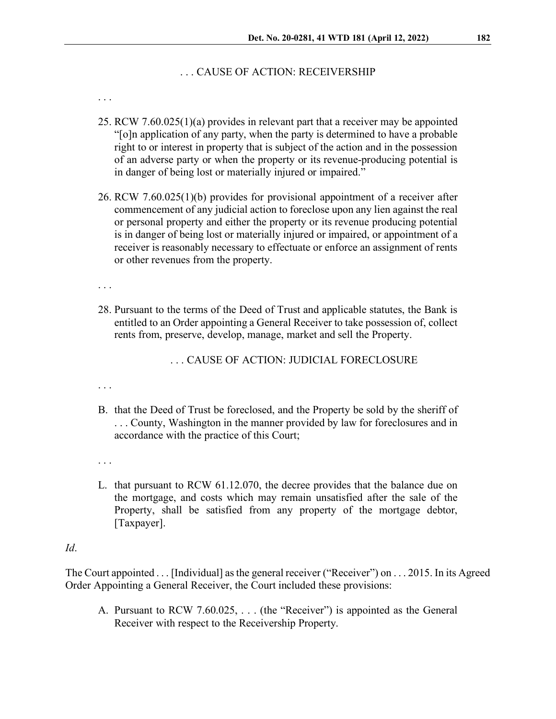#### . . . CAUSE OF ACTION: RECEIVERSHIP

. . .

- 25. RCW 7.60.025(1)(a) provides in relevant part that a receiver may be appointed "[o]n application of any party, when the party is determined to have a probable right to or interest in property that is subject of the action and in the possession of an adverse party or when the property or its revenue-producing potential is in danger of being lost or materially injured or impaired."
- 26. RCW 7.60.025(1)(b) provides for provisional appointment of a receiver after commencement of any judicial action to foreclose upon any lien against the real or personal property and either the property or its revenue producing potential is in danger of being lost or materially injured or impaired, or appointment of a receiver is reasonably necessary to effectuate or enforce an assignment of rents or other revenues from the property.

. . .

28. Pursuant to the terms of the Deed of Trust and applicable statutes, the Bank is entitled to an Order appointing a General Receiver to take possession of, collect rents from, preserve, develop, manage, market and sell the Property.

. . . CAUSE OF ACTION: JUDICIAL FORECLOSURE

. . .

- B. that the Deed of Trust be foreclosed, and the Property be sold by the sheriff of . . . County, Washington in the manner provided by law for foreclosures and in accordance with the practice of this Court;
- . . .
- L. that pursuant to RCW 61.12.070, the decree provides that the balance due on the mortgage, and costs which may remain unsatisfied after the sale of the Property, shall be satisfied from any property of the mortgage debtor, [Taxpayer].

#### *Id*.

The Court appointed . . . [Individual] as the general receiver ("Receiver") on . . . 2015. In its Agreed Order Appointing a General Receiver, the Court included these provisions:

A. Pursuant to RCW 7.60.025, . . . (the "Receiver") is appointed as the General Receiver with respect to the Receivership Property.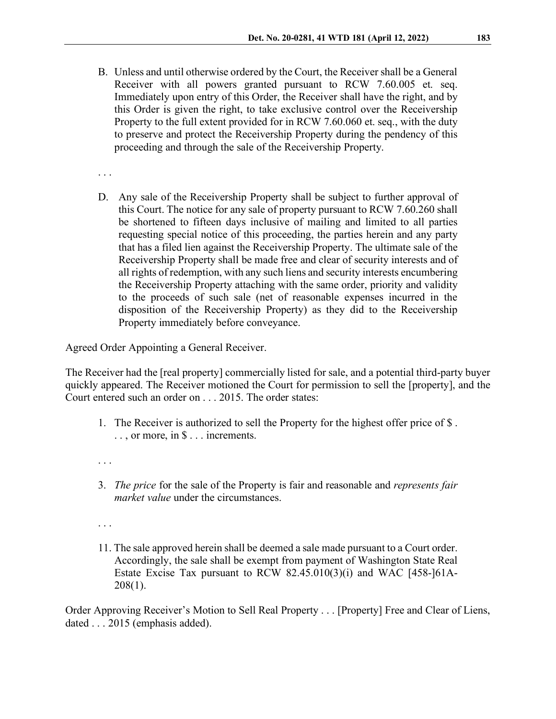B. Unless and until otherwise ordered by the Court, the Receiver shall be a General Receiver with all powers granted pursuant to RCW 7.60.005 et. seq. Immediately upon entry of this Order, the Receiver shall have the right, and by this Order is given the right, to take exclusive control over the Receivership Property to the full extent provided for in RCW 7.60.060 et. seq., with the duty to preserve and protect the Receivership Property during the pendency of this proceeding and through the sale of the Receivership Property.

. . .

D. Any sale of the Receivership Property shall be subject to further approval of this Court. The notice for any sale of property pursuant to RCW 7.60.260 shall be shortened to fifteen days inclusive of mailing and limited to all parties requesting special notice of this proceeding, the parties herein and any party that has a filed lien against the Receivership Property. The ultimate sale of the Receivership Property shall be made free and clear of security interests and of all rights of redemption, with any such liens and security interests encumbering the Receivership Property attaching with the same order, priority and validity to the proceeds of such sale (net of reasonable expenses incurred in the disposition of the Receivership Property) as they did to the Receivership Property immediately before conveyance.

Agreed Order Appointing a General Receiver.

The Receiver had the [real property] commercially listed for sale, and a potential third-party buyer quickly appeared. The Receiver motioned the Court for permission to sell the [property], and the Court entered such an order on . . . 2015. The order states:

- 1. The Receiver is authorized to sell the Property for the highest offer price of \$ . . . , or more, in \$ . . . increments.
- . . .
- 3. *The price* for the sale of the Property is fair and reasonable and *represents fair market value* under the circumstances.
- . . .
- 11. The sale approved herein shall be deemed a sale made pursuant to a Court order. Accordingly, the sale shall be exempt from payment of Washington State Real Estate Excise Tax pursuant to RCW 82.45.010(3)(i) and WAC [458-]61A-208(1).

Order Approving Receiver's Motion to Sell Real Property . . . [Property] Free and Clear of Liens, dated . . . 2015 (emphasis added).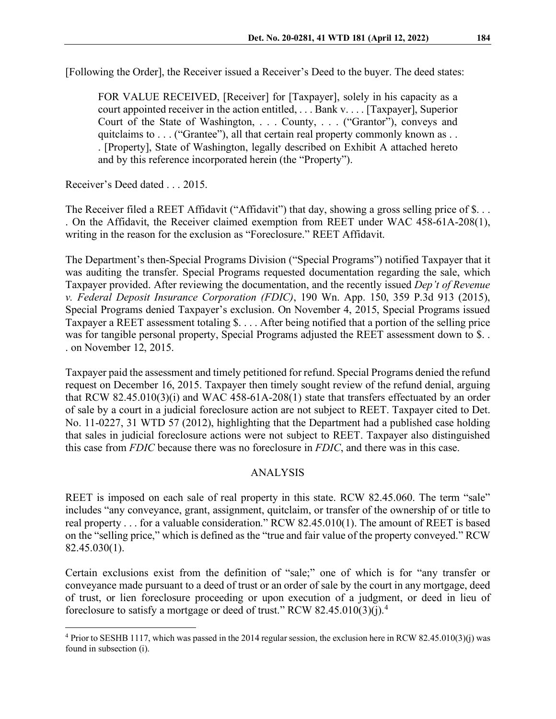[Following the Order], the Receiver issued a Receiver's Deed to the buyer. The deed states:

FOR VALUE RECEIVED, [Receiver] for [Taxpayer], solely in his capacity as a court appointed receiver in the action entitled, . . . Bank v. . . . [Taxpayer], Superior Court of the State of Washington, . . . County, . . . ("Grantor"), conveys and quitclaims to . . . ("Grantee"), all that certain real property commonly known as . . . [Property], State of Washington, legally described on Exhibit A attached hereto and by this reference incorporated herein (the "Property").

Receiver's Deed dated . . . 2015.

The Receiver filed a REET Affidavit ("Affidavit") that day, showing a gross selling price of \$... . On the Affidavit, the Receiver claimed exemption from REET under WAC 458-61A-208(1), writing in the reason for the exclusion as "Foreclosure." REET Affidavit.

The Department's then-Special Programs Division ("Special Programs") notified Taxpayer that it was auditing the transfer. Special Programs requested documentation regarding the sale, which Taxpayer provided. After reviewing the documentation, and the recently issued *Dep't of Revenue v. Federal Deposit Insurance Corporation (FDIC)*, 190 Wn. App. 150, 359 P.3d 913 (2015), Special Programs denied Taxpayer's exclusion. On November 4, 2015, Special Programs issued Taxpayer a REET assessment totaling \$. . . . After being notified that a portion of the selling price was for tangible personal property, Special Programs adjusted the REET assessment down to \$... . on November 12, 2015.

Taxpayer paid the assessment and timely petitioned for refund. Special Programs denied the refund request on December 16, 2015. Taxpayer then timely sought review of the refund denial, arguing that RCW 82.45.010(3)(i) and WAC 458-61A-208(1) state that transfers effectuated by an order of sale by a court in a judicial foreclosure action are not subject to REET. Taxpayer cited to Det. No. 11-0227, 31 WTD 57 (2012), highlighting that the Department had a published case holding that sales in judicial foreclosure actions were not subject to REET. Taxpayer also distinguished this case from *FDIC* because there was no foreclosure in *FDIC*, and there was in this case.

# ANALYSIS

REET is imposed on each sale of real property in this state. RCW 82.45.060. The term "sale" includes "any conveyance, grant, assignment, quitclaim, or transfer of the ownership of or title to real property . . . for a valuable consideration." RCW 82.45.010(1). The amount of REET is based on the "selling price," which is defined as the "true and fair value of the property conveyed." RCW 82.45.030(1).

Certain exclusions exist from the definition of "sale;" one of which is for "any transfer or conveyance made pursuant to a deed of trust or an order of sale by the court in any mortgage, deed of trust, or lien foreclosure proceeding or upon execution of a judgment, or deed in lieu of foreclosure to satisfy a mortgage or deed of trust." RCW 82.[4](#page-3-0)5.010(3)(j).<sup>4</sup>

<span id="page-3-0"></span><sup>4</sup> Prior to SESHB 1117, which was passed in the 2014 regular session, the exclusion here in RCW 82.45.010(3)(j) was found in subsection (i).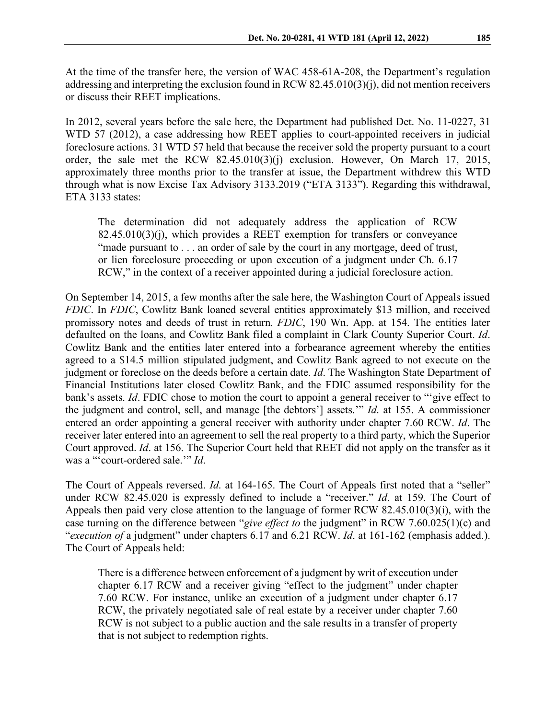At the time of the transfer here, the version of WAC 458-61A-208, the Department's regulation addressing and interpreting the exclusion found in RCW 82.45.010(3)(j), did not mention receivers or discuss their REET implications.

In 2012, several years before the sale here, the Department had published Det. No. 11-0227, 31 WTD 57 (2012), a case addressing how REET applies to court-appointed receivers in judicial foreclosure actions. 31 WTD 57 held that because the receiver sold the property pursuant to a court order, the sale met the RCW 82.45.010(3)(j) exclusion. However, On March 17, 2015, approximately three months prior to the transfer at issue, the Department withdrew this WTD through what is now Excise Tax Advisory 3133.2019 ("ETA 3133"). Regarding this withdrawal, ETA 3133 states:

The determination did not adequately address the application of RCW 82.45.010(3)(j), which provides a REET exemption for transfers or conveyance "made pursuant to . . . an order of sale by the court in any mortgage, deed of trust, or lien foreclosure proceeding or upon execution of a judgment under Ch. 6.17 RCW," in the context of a receiver appointed during a judicial foreclosure action.

On September 14, 2015, a few months after the sale here, the Washington Court of Appeals issued *FDIC*. In *FDIC*, Cowlitz Bank loaned several entities approximately \$13 million, and received promissory notes and deeds of trust in return. *FDIC*, 190 Wn. App. at 154. The entities later defaulted on the loans, and Cowlitz Bank filed a complaint in Clark County Superior Court. *Id*. Cowlitz Bank and the entities later entered into a forbearance agreement whereby the entities agreed to a \$14.5 million stipulated judgment, and Cowlitz Bank agreed to not execute on the judgment or foreclose on the deeds before a certain date. *Id*. The Washington State Department of Financial Institutions later closed Cowlitz Bank, and the FDIC assumed responsibility for the bank's assets. *Id*. FDIC chose to motion the court to appoint a general receiver to "'give effect to the judgment and control, sell, and manage [the debtors'] assets.'" *Id*. at 155. A commissioner entered an order appointing a general receiver with authority under chapter 7.60 RCW. *Id*. The receiver later entered into an agreement to sell the real property to a third party, which the Superior Court approved. *Id*. at 156. The Superior Court held that REET did not apply on the transfer as it was a "'court-ordered sale.'" *Id*.

The Court of Appeals reversed. *Id*. at 164-165. The Court of Appeals first noted that a "seller" under RCW 82.45.020 is expressly defined to include a "receiver." *Id*. at 159. The Court of Appeals then paid very close attention to the language of former RCW 82.45.010(3)(i), with the case turning on the difference between "*give effect to* the judgment" in RCW 7.60.025(1)(c) and "*execution of* a judgment" under chapters 6.17 and 6.21 RCW. *Id*. at 161-162 (emphasis added.). The Court of Appeals held:

There is a difference between enforcement of a judgment by writ of execution under chapter 6.17 RCW and a receiver giving "effect to the judgment" under chapter 7.60 RCW. For instance, unlike an execution of a judgment under chapter 6.17 RCW, the privately negotiated sale of real estate by a receiver under chapter 7.60 RCW is not subject to a public auction and the sale results in a transfer of property that is not subject to redemption rights.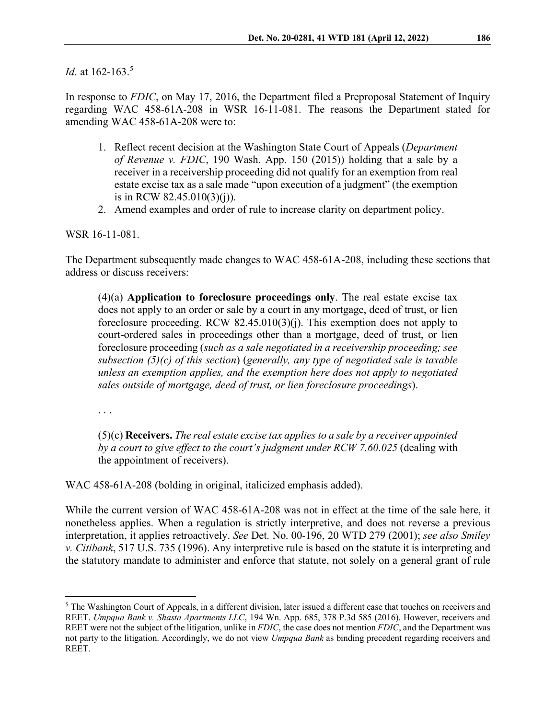*Id.* at 162-163.<sup>[5](#page-5-0)</sup>

In response to *FDIC*, on May 17, 2016, the Department filed a Preproposal Statement of Inquiry regarding WAC 458-61A-208 in WSR 16-11-081. The reasons the Department stated for amending WAC 458-61A-208 were to:

- 1. Reflect recent decision at the Washington State Court of Appeals (*Department of Revenue v. FDIC*, 190 Wash. App. 150 (2015)) holding that a sale by a receiver in a receivership proceeding did not qualify for an exemption from real estate excise tax as a sale made "upon execution of a judgment" (the exemption is in RCW 82.45.010(3)(j)).
- 2. Amend examples and order of rule to increase clarity on department policy.

WSR 16-11-081.

The Department subsequently made changes to WAC 458-61A-208, including these sections that address or discuss receivers:

(4)(a) **Application to foreclosure proceedings only**. The real estate excise tax does not apply to an order or sale by a court in any mortgage, deed of trust, or lien foreclosure proceeding. RCW 82.45.010(3)(j). This exemption does not apply to court-ordered sales in proceedings other than a mortgage, deed of trust, or lien foreclosure proceeding (*such as a sale negotiated in a receivership proceeding; see subsection (5)(c) of this section*) (*generally, any type of negotiated sale is taxable unless an exemption applies, and the exemption here does not apply to negotiated sales outside of mortgage, deed of trust, or lien foreclosure proceedings*).

. . .

(5)(c) **Receivers.** *The real estate excise tax applies to a sale by a receiver appointed by a court to give effect to the court's judgment under RCW 7.60.025* (dealing with the appointment of receivers).

WAC 458-61A-208 (bolding in original, italicized emphasis added).

While the current version of WAC 458-61A-208 was not in effect at the time of the sale here, it nonetheless applies. When a regulation is strictly interpretive, and does not reverse a previous interpretation, it applies retroactively. *See* Det. No. 00-196, 20 WTD 279 (2001); *see also Smiley v. Citibank*, 517 U.S. 735 (1996). Any interpretive rule is based on the statute it is interpreting and the statutory mandate to administer and enforce that statute, not solely on a general grant of rule

<span id="page-5-0"></span><sup>&</sup>lt;sup>5</sup> The Washington Court of Appeals, in a different division, later issued a different case that touches on receivers and REET. *Umpqua Bank v. Shasta Apartments LLC*, 194 Wn. App. 685, 378 P.3d 585 (2016). However, receivers and REET were not the subject of the litigation, unlike in *FDIC*, the case does not mention *FDIC*, and the Department was not party to the litigation. Accordingly, we do not view *Umpqua Bank* as binding precedent regarding receivers and REET.